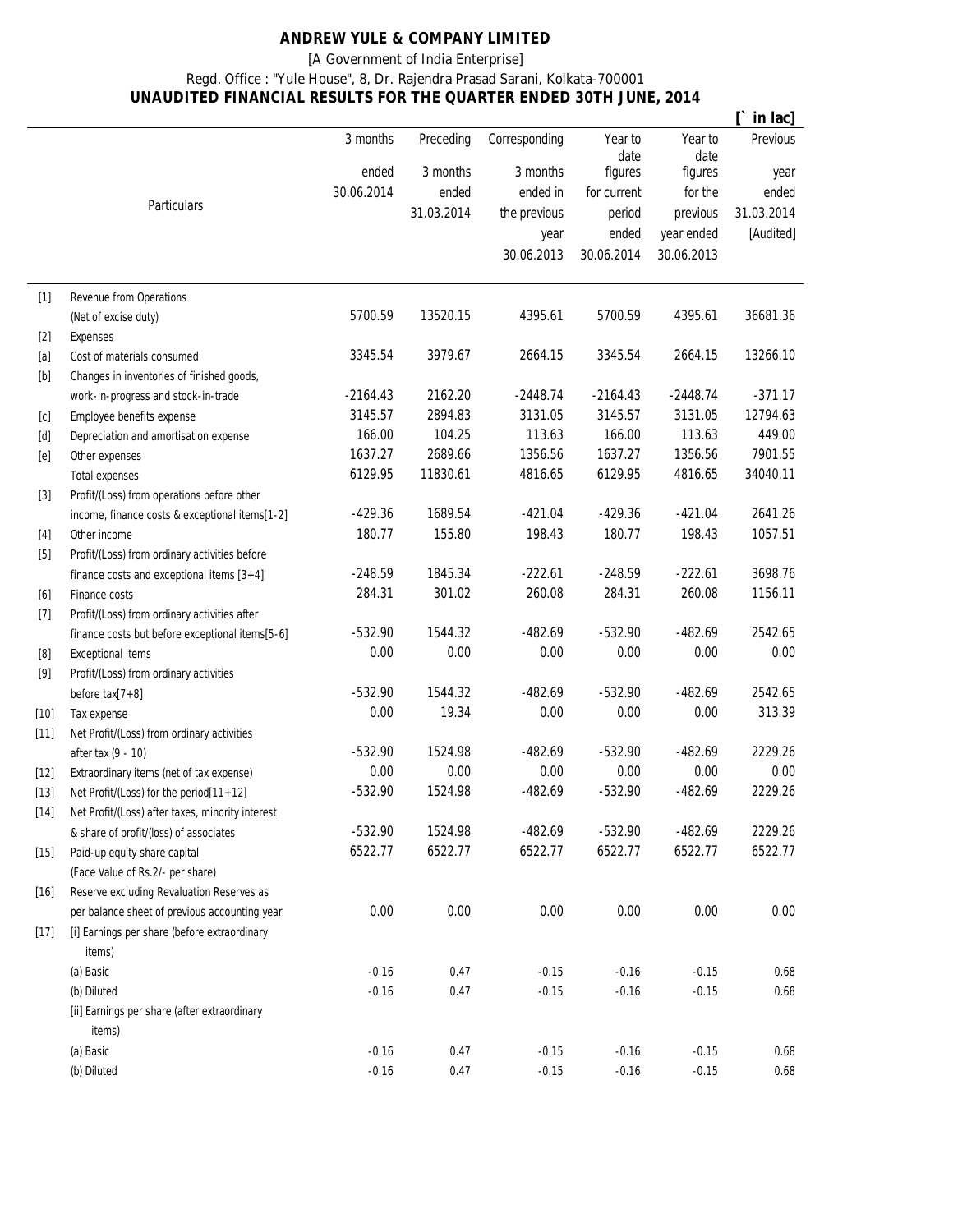## **ANDREW YULE & COMPANY LIMITED**

[A Government of India Enterprise]

## Regd. Office : "Yule House", 8, Dr. Rajendra Prasad Sarani, Kolkata-700001 **UNAUDITED FINANCIAL RESULTS FOR THE QUARTER ENDED 30TH JUNE, 2014**

|                                                                                                                                                                                                             |                                                        |            |            |               |                 |                 | in lac]         |
|-------------------------------------------------------------------------------------------------------------------------------------------------------------------------------------------------------------|--------------------------------------------------------|------------|------------|---------------|-----------------|-----------------|-----------------|
|                                                                                                                                                                                                             |                                                        | 3 months   | Preceding  | Corresponding | Year to<br>date | Year to<br>date | <b>Previous</b> |
|                                                                                                                                                                                                             |                                                        | ended      | 3 months   | 3 months      | figures         | figures         | year            |
|                                                                                                                                                                                                             |                                                        | 30.06.2014 | ended      | ended in      | for current     | for the         | ended           |
|                                                                                                                                                                                                             | Particulars                                            |            | 31.03.2014 | the previous  | period          | previous        | 31.03.2014      |
|                                                                                                                                                                                                             |                                                        |            |            | year          | ended           | year ended      | [Audited]       |
|                                                                                                                                                                                                             |                                                        |            |            | 30.06.2013    | 30.06.2014      | 30.06.2013      |                 |
| $[1]$                                                                                                                                                                                                       | Revenue from Operations                                |            |            |               |                 |                 |                 |
|                                                                                                                                                                                                             | (Net of excise duty)                                   | 5700.59    | 13520.15   | 4395.61       | 5700.59         | 4395.61         | 36681.36        |
| $[2]$                                                                                                                                                                                                       | <b>Expenses</b>                                        |            |            |               |                 |                 |                 |
| $[a]$                                                                                                                                                                                                       | Cost of materials consumed                             | 3345.54    | 3979.67    | 2664.15       | 3345.54         | 2664.15         | 13266.10        |
| $[b]$                                                                                                                                                                                                       | Changes in inventories of finished goods,              |            |            |               |                 |                 |                 |
|                                                                                                                                                                                                             | work-in-progress and stock-in-trade                    | $-2164.43$ | 2162.20    | $-2448.74$    | $-2164.43$      | $-2448.74$      | $-371.17$       |
| [c]                                                                                                                                                                                                         | Employee benefits expense                              | 3145.57    | 2894.83    | 3131.05       | 3145.57         | 3131.05         | 12794.63        |
| [d]                                                                                                                                                                                                         | Depreciation and amortisation expense                  | 166.00     | 104.25     | 113.63        | 166.00          | 113.63          | 449.00          |
| [e]                                                                                                                                                                                                         | Other expenses                                         | 1637.27    | 2689.66    | 1356.56       | 1637.27         | 1356.56         | 7901.55         |
|                                                                                                                                                                                                             | <b>Total expenses</b>                                  | 6129.95    | 11830.61   | 4816.65       | 6129.95         | 4816.65         | 34040.11        |
| $[3]$                                                                                                                                                                                                       | Profit/(Loss) from operations before other             |            |            |               |                 |                 |                 |
|                                                                                                                                                                                                             | income, finance costs & exceptional items[1-2]         | $-429.36$  | 1689.54    | $-421.04$     | $-429.36$       | $-421.04$       | 2641.26         |
| $[4]$                                                                                                                                                                                                       | Other income                                           | 180.77     | 155.80     | 198.43        | 180.77          | 198.43          | 1057.51         |
| $[5]$                                                                                                                                                                                                       | Profit/(Loss) from ordinary activities before          |            |            |               |                 |                 |                 |
|                                                                                                                                                                                                             | finance costs and exceptional items $[3+4]$            | $-248.59$  | 1845.34    | $-222.61$     | $-248.59$       | $-222.61$       | 3698.76         |
| [6]                                                                                                                                                                                                         | Finance costs                                          | 284.31     | 301.02     | 260.08        | 284.31          | 260.08          | 1156.11         |
| $[7]$                                                                                                                                                                                                       | Profit/(Loss) from ordinary activities after           |            |            |               |                 |                 |                 |
|                                                                                                                                                                                                             | finance costs but before exceptional items[5-6]        | $-532.90$  | 1544.32    | $-482.69$     | $-532.90$       | $-482.69$       | 2542.65         |
| [8]                                                                                                                                                                                                         | <b>Exceptional items</b>                               | 0.00       | 0.00       | 0.00          | 0.00            | 0.00            | 0.00            |
| $[9] % \begin{center} \includegraphics[width=\linewidth]{images/Transr1.pdf} \end{center} % \vspace*{-1em} \caption{The image shows the number of observations in the left and right.} \label{fig:class} %$ | Profit/(Loss) from ordinary activities                 |            |            |               |                 |                 |                 |
|                                                                                                                                                                                                             | before $\text{tax}[7+8]$                               | $-532.90$  | 1544.32    | $-482.69$     | $-532.90$       | $-482.69$       | 2542.65         |
| $[10]$                                                                                                                                                                                                      | Tax expense                                            | 0.00       | 19.34      | 0.00          | 0.00            | 0.00            | 313.39          |
| $[11]$                                                                                                                                                                                                      | Net Profit/(Loss) from ordinary activities             |            |            |               |                 |                 |                 |
|                                                                                                                                                                                                             | after tax (9 - 10)                                     | $-532.90$  | 1524.98    | $-482.69$     | $-532.90$       | $-482.69$       | 2229.26         |
| $[12]$                                                                                                                                                                                                      | Extraordinary items (net of tax expense)               | 0.00       | 0.00       | 0.00          | 0.00            | 0.00            | 0.00            |
| $[13]$                                                                                                                                                                                                      | Net Profit/(Loss) for the period[11+12]                | $-532.90$  | 1524.98    | $-482.69$     | $-532.90$       | $-482.69$       | 2229.26         |
| $[14]$                                                                                                                                                                                                      | Net Profit/(Loss) after taxes, minority interest       |            |            |               |                 |                 |                 |
|                                                                                                                                                                                                             | & share of profit/(loss) of associates                 | $-532.90$  | 1524.98    | $-482.69$     | $-532.90$       | $-482.69$       | 2229.26         |
| $[15]$<br>$[16]$                                                                                                                                                                                            | Paid-up equity share capital                           | 6522.77    | 6522.77    | 6522.77       | 6522.77         | 6522.77         | 6522.77         |
|                                                                                                                                                                                                             | (Face Value of Rs.2/- per share)                       |            |            |               |                 |                 |                 |
|                                                                                                                                                                                                             | Reserve excluding Revaluation Reserves as              |            |            |               |                 |                 |                 |
|                                                                                                                                                                                                             | per balance sheet of previous accounting year          | 0.00       | 0.00       | 0.00          | 0.00            | 0.00            | 0.00            |
| $[17]$                                                                                                                                                                                                      | [i] Earnings per share (before extraordinary<br>items) |            |            |               |                 |                 |                 |
|                                                                                                                                                                                                             | (a) Basic                                              | $-0.16$    | 0.47       | $-0.15$       | $-0.16$         | $-0.15$         | 0.68            |
|                                                                                                                                                                                                             | (b) Diluted                                            | $-0.16$    | 0.47       | $-0.15$       | $-0.16$         | $-0.15$         | 0.68            |
|                                                                                                                                                                                                             | [ii] Earnings per share (after extraordinary<br>items) |            |            |               |                 |                 |                 |
|                                                                                                                                                                                                             | (a) Basic                                              | $-0.16$    | 0.47       | $-0.15$       | $-0.16$         | $-0.15$         | 0.68            |
|                                                                                                                                                                                                             | (b) Diluted                                            | $-0.16$    | 0.47       | $-0.15$       | $-0.16$         | $-0.15$         | 0.68            |